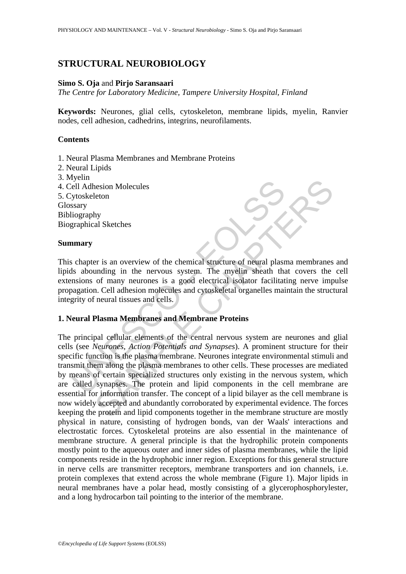# **STRUCTURAL NEUROBIOLOGY**

## **Simo S. Oja** and **Pirjo Saransaari**

*The Centre for Laboratory Medicine, Tampere University Hospital, Finland* 

**Keywords:** Neurones, glial cells, cytoskeleton, membrane lipids, myelin, Ranvier nodes, cell adhesion, cadhedrins, integrins, neurofilaments.

## **Contents**

- 1. Neural Plasma Membranes and Membrane Proteins
- 2. Neural Lipids
- 3. Myelin
- 4. Cell Adhesion Molecules

5. Cytoskeleton

Glossary

Bibliography Biographical Sketches

## **Summary**

This chapter is an overview of the chemical structure of neural plasma membranes and lipids abounding in the nervous system. The myelin sheath that covers the cell extensions of many neurones is a good electrical isolator facilitating nerve impulse propagation. Cell adhesion molecules and cytoskeletal organelles maintain the structural integrity of neural tissues and cells.

## **1. Neural Plasma Membranes and Membrane Proteins**

Formation Molecules<br>
ell Adhesion Molecules<br>
Sytoskeleton<br>
saary<br>
iography<br>
standing in the nervous system. The myelin sheath that<br>
is abounding in the nervous system. The myelin sheath that<br>
manisons of many neurones is a The second Molecules<br>
Settion<br>
Applared Sketches<br>
Settion<br>
Shall Sketches<br>
Settions are of more much as structure of neural plasma membranes<br>
of many neurones is a good electrical isolator facilitating nerve imp<br>
... Cell The principal cellular elements of the central nervous system are neurones and glial cells (see *Neurones, Action Potentials and Synapses*). A prominent structure for their specific function is the plasma membrane. Neurones integrate environmental stimuli and transmit them along the plasma membranes to other cells. These processes are mediated by means of certain specialized structures only existing in the nervous system, which are called synapses. The protein and lipid components in the cell membrane are essential for information transfer. The concept of a lipid bilayer as the cell membrane is now widely accepted and abundantly corroborated by experimental evidence. The forces keeping the protein and lipid components together in the membrane structure are mostly physical in nature, consisting of hydrogen bonds, van der Waals' interactions and electrostatic forces. Cytoskeletal proteins are also essential in the maintenance of membrane structure. A general principle is that the hydrophilic protein components mostly point to the aqueous outer and inner sides of plasma membranes, while the lipid components reside in the hydrophobic inner region. Exceptions for this general structure in nerve cells are transmitter receptors, membrane transporters and ion channels, i.e. protein complexes that extend across the whole membrane (Figure 1). Major lipids in neural membranes have a polar head, mostly consisting of a glycerophosphorylester, and a long hydrocarbon tail pointing to the interior of the membrane.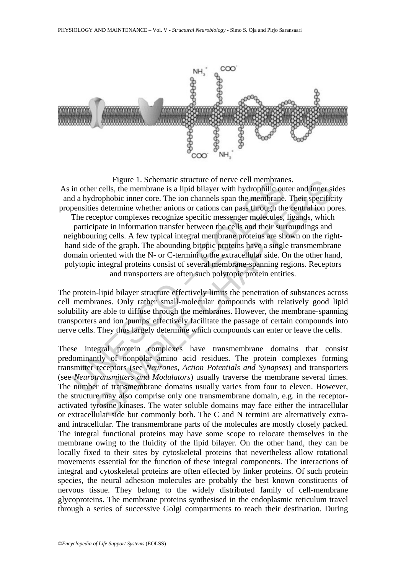

Figure 1. Schematic structure of nerve cell membrants<br>in other cells, the membrane is a lipid bilalyer with hydrophilic our<br>d a hydrophobic inner core. The ion channels span the membrane<br>pensities determine whether anions Figure 1. Schematic structure of newe cell membranes.<br>
Figure rells, the membrane is a lipid bilayer with hydrophilic outer and inner si<br>
rells, the membrane is a lipid bilayer with hydrophilic outer and inner si<br>
trophobi Figure 1. Schematic structure of nerve cell membranes. As in other cells, the membrane is a lipid bilayer with hydrophilic outer and inner sides and a hydrophobic inner core. The ion channels span the membrane. Their specificity propensities determine whether anions or cations can pass through the central ion pores. The receptor complexes recognize specific messenger molecules, ligands, which participate in information transfer between the cells and their surroundings and neighbouring cells. A few typical integral membrane proteins are shown on the righthand side of the graph. The abounding bitopic proteins have a single transmembrane domain oriented with the N- or C-termini to the extracellular side. On the other hand, polytopic integral proteins consist of several membrane-spanning regions. Receptors and transporters are often such polytopic protein entities.

The protein-lipid bilayer structure effectively limits the penetration of substances across cell membranes. Only rather small-molecular compounds with relatively good lipid solubility are able to diffuse through the membranes. However, the membrane-spanning transporters and ion 'pumps' effectively facilitate the passage of certain compounds into nerve cells. They thus largely determine which compounds can enter or leave the cells.

These integral protein complexes have transmembrane domains that consist predominantly of nonpolar amino acid residues. The protein complexes forming transmitter receptors (see *Neurones, Action Potentials and Synapses*) and transporters (see *Neurotransmitters and Modulators*) usually traverse the membrane several times. The number of transmembrane domains usually varies from four to eleven. However, the structure may also comprise only one transmembrane domain, e.g. in the receptoractivated tyrosine kinases. The water soluble domains may face either the intracellular or extracellular side but commonly both. The C and N termini are alternatively extraand intracellular. The transmembrane parts of the molecules are mostly closely packed. The integral functional proteins may have some scope to relocate themselves in the membrane owing to the fluidity of the lipid bilayer. On the other hand, they can be locally fixed to their sites by cytoskeletal proteins that nevertheless allow rotational movements essential for the function of these integral components. The interactions of integral and cytoskeletal proteins are often effected by linker proteins. Of such protein species, the neural adhesion molecules are probably the best known constituents of nervous tissue. They belong to the widely distributed family of cell-membrane glycoproteins. The membrane proteins synthesised in the endoplasmic reticulum travel through a series of successive Golgi compartments to reach their destination. During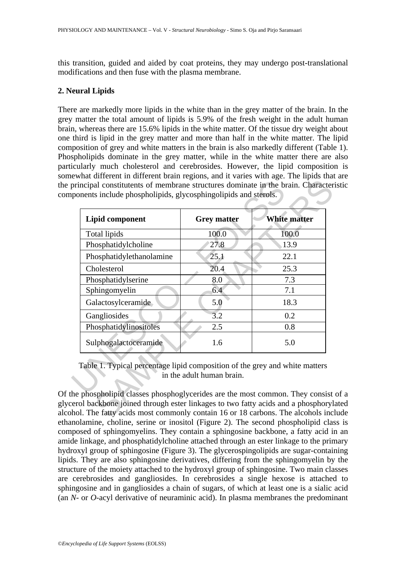this transition, guided and aided by coat proteins, they may undergo post-translational modifications and then fuse with the plasma membrane.

## **2. Neural Lipids**

There are markedly more lipids in the white than in the grey matter of the brain. In the grey matter the total amount of lipids is 5.9% of the fresh weight in the adult human brain, whereas there are 15.6% lipids in the white matter. Of the tissue dry weight about one third is lipid in the grey matter and more than half in the white matter. The lipid composition of grey and white matters in the brain is also markedly different (Table 1). Phospholipids dominate in the grey matter, while in the white matter there are also particularly much cholesterol and cerebrosides. However, the lipid composition is somewhat different in different brain regions, and it varies with age. The lipids that are the principal constitutents of membrane structures dominate in the brain. Characteristic components include phospholipids, glycosphingolipids and sterols.

| <b>Lipid component</b>                                                      | <b>Grey matter</b>        | <b>White matter</b> |
|-----------------------------------------------------------------------------|---------------------------|---------------------|
| Total lipids                                                                | 100.0                     | 100.0               |
| Phosphatidylcholine                                                         | 27.8                      | 13.9                |
| Phosphatidylethanolamine                                                    | 25.1                      | 22.1                |
| Cholesterol                                                                 | 20.4                      | 25.3                |
| Phosphatidylserine                                                          | 8.0                       | 7.3                 |
| Sphingomyelin                                                               | 6.4                       | 7.1                 |
| Galactosylceramide                                                          | 5.0                       | 18.3                |
| Gangliosides                                                                | 3.2                       | 0.2                 |
| Phosphatidylinositoles                                                      | 2.5                       | 0.8                 |
| Sulphogalactoceramide                                                       | 1.6                       | 5.0                 |
| Table 1. Typical percentage lipid composition of the grey and white matters | in the adult human brain. |                     |

Of the phospholipid classes phosphoglycerides are the most common. They consist of a glycerol backbone joined through ester linkages to two fatty acids and a phosphorylated alcohol. The fatty acids most commonly contain 16 or 18 carbons. The alcohols include ethanolamine, choline, serine or inositol (Figure 2). The second phospholipid class is composed of sphingomyelins. They contain a sphingosine backbone, a fatty acid in an amide linkage, and phosphatidylcholine attached through an ester linkage to the primary hydroxyl group of sphingosine (Figure 3). The glycerospingolipids are sugar-containing lipids. They are also sphingosine derivatives, differing from the sphingomyelin by the structure of the moiety attached to the hydroxyl group of sphingosine. Two main classes are cerebrosides and gangliosides. In cerebrosides a single hexose is attached to sphingosine and in gangliosides a chain of sugars, of which at least one is a sialic acid (an *N*- or *O*-acyl derivative of neuraminic acid). In plasma membranes the predominant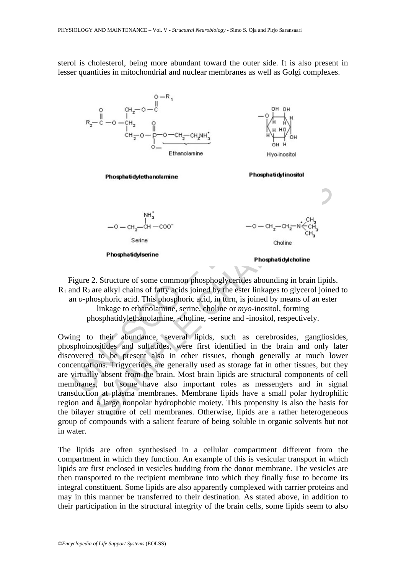sterol is cholesterol, being more abundant toward the outer side. It is also present in lesser quantities in mitochondrial and nuclear membranes as well as Golgi complexes.



Figure 2. Structure of some common phosphoglycerides abounding in brain lipids.  $R_1$  and  $R_2$  are alkyl chains of fatty acids joined by the ester linkages to glycerol joined to an *o*-phosphoric acid. This phosphoric acid, in turn, is joined by means of an ester linkage to ethanolamine, serine, choline or *myo*-inositol, forming phosphatidylethanolamine, -choline, -serine and -inositol, respectively.

Owing to their abundance, several lipids, such as cerebrosides, gangliosides, phosphoinositides and sulfatides, were first identified in the brain and only later discovered to be present also in other tissues, though generally at much lower concentrations. Trigycerides are generally used as storage fat in other tissues, but they are virtually absent from the brain. Most brain lipids are structural components of cell membranes, but some have also important roles as messengers and in signal transduction at plasma membranes. Membrane lipids have a small polar hydrophilic region and a large nonpolar hydrophobic moiety. This propensity is also the basis for the bilayer structure of cell membranes. Otherwise, lipids are a rather heterogeneous group of compounds with a salient feature of being soluble in organic solvents but not in water.

The lipids are often synthesised in a cellular compartment different from the compartment in which they function. An example of this is vesicular transport in which lipids are first enclosed in vesicles budding from the donor membrane. The vesicles are then transported to the recipient membrane into which they finally fuse to become its integral constituent. Some lipids are also apparently complexed with carrier proteins and may in this manner be transferred to their destination. As stated above, in addition to their participation in the structural integrity of the brain cells, some lipids seem to also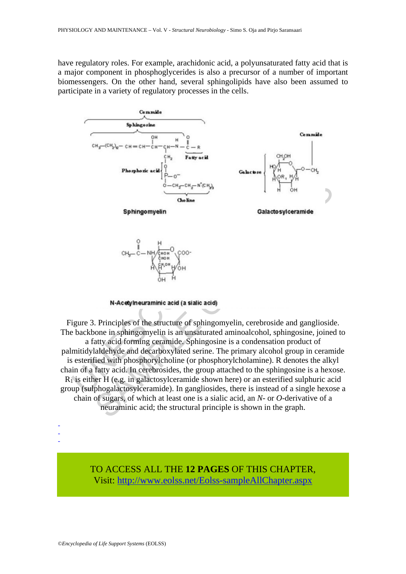have regulatory roles. For example, arachidonic acid, a polyunsaturated fatty acid that is a major component in phosphoglycerides is also a precursor of a number of important biomessengers. On the other hand, several sphingolipids have also been assumed to participate in a variety of regulatory processes in the cells.





Sphingomyelin<br>
Sphingomyelin<br>
Obeline<br>
Sphingomyelin<br>
CH<sub>y</sub> – C – NH<sub>y</sub><sup>mon</sup><br>
C<sub>(<sup>non</sup></sub>O<sub>N</sub>)<br>
C<sub>(non</sub>O<sub>N)</sub><br>
C<sub>(non</sub>O<sub>N)</sub><br>
C<sub>(non</sub>O<sub>N)</sub><br>
C<sub>(non</sub>O<sub>N)</sub><br>
C<sub>(non</sub>O<sub>N)</sub><br>
C<sub>(non</sub>O<sub>N)</sub><br>
C<sub>(non</sub>O<sub>N)</sub><br>
(non-O<sub>N)</sub><br>
(non-ON)<br>
(non-ON Sphingomyelin<br>
Shoking<br>
Sphingomyelin<br>
Shoking<br>
Sphingomyelin<br>
CH<sub>3</sub>-C-NH (more)<br>
CO-NH-<sup>2</sup><br>
CH<sub>3</sub>-C-NH (more)<br>
CO-NH-<sup>2</sup><br>
CH<sub>3</sub>-C-NH (more)<br>
CO-NH-<sup>2</sup><br>
CH<sub>3</sub>-C-NH (more)<br>
CO-NH-<sup>2</sup><br>
CH<sub>3</sub>-C-NH (more)<br>
CO-NH4<br>
CH4<br>
CH4<br>
C Figure 3. Principles of the structure of sphingomyelin, cerebroside and ganglioside. The backbone in sphingomyelin is an unsaturated aminoalcohol, sphingosine, joined to a fatty acid forming ceramide. Sphingosine is a condensation product of palmitidylaldehyde and decarboxylated serine. The primary alcohol group in ceramide is esterified with phosphorylcholine (or phosphorylcholamine). R denotes the alkyl chain of a fatty acid. In cerebrosides, the group attached to the sphingosine is a hexose.  $R_1$  is either H (e.g. in galactosylceramide shown here) or an esterified sulphuric acid group (sulphogalactosylceramide). In gangliosides, there is instead of a single hexose a chain of sugars, of which at least one is a sialic acid, an *N*- or *O*-derivative of a neuraminic acid; the structural principle is shown in the graph.

- -

-

TO ACCESS ALL THE **12 PAGES** OF THIS CHAPTER, Visit[: http://www.eolss.net/Eolss-sampleAllChapter.aspx](https://www.eolss.net/ebooklib/sc_cart.aspx?File=E6-54-09-01)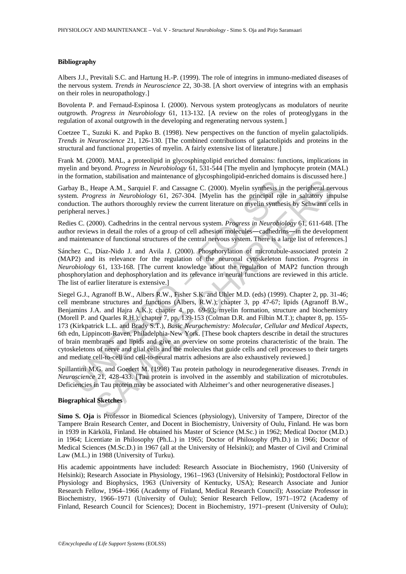#### **Bibliography**

Albers J.J., Previtali S.C. and Hartung H.-P. (1999). The role of integrins in immuno-mediated diseases of the nervous system. *Trends in Neuroscience* 22, 30-38. [A short overview of integrins with an emphasis on their roles in neuropathology.]

Bovolenta P. and Fernaud-Espinosa I. (2000). Nervous system proteoglycans as modulators of neurite outgrowth. *Progress in Neurobiology* 61, 113-132. [A review on the roles of proteoglygans in the regulation of axonal outgrowth in the developing and regenerating nervous system.]

Coetzee T., Suzuki K. and Papko B. (1998). New perspectives on the function of myelin galactolipids. *Trends in Neuroscience* 21, 126-130. [The combined contributions of galactolipids and proteins in the structural and functional properties of myelin. A fairly extensive list of literature.]

Frank M. (2000). MAL, a proteolipid in glycosphingolipid enriched domains: functions, implications in myelin and beyond. *Progress in Neurobiology* 61, 531-544 [The myelin and lymphocyte protein (MAL) in the formation, stabilisation and maintenance of glycosphingolipid-enriched domains is discussed here.]

Garbay B., Heape A.M., Sarquiel F. and Cassagne C. (2000). Myelin synthesis in the peripheral nervous system. *Progress in Neurobiology* 61, 267-304. [Myelin has the principal role in saltatory impulse conduction. The authors thoroughly review the current literature on myelin synthesis by Schwann cells in peripheral nerves.}

Redies C. (2000). Cadhedrins in the central nervous system. *Progress in Neurobiology* 61, 611-648. [The author reviews in detail the roles of a group of cell adhesion molecules―cadhedrins―in the development and maintenance of functional structures of the central nervous system. There is a large list of references.]

Sánchez C., Díaz-Nido J. and Avila J. (2000). Phosphorylation of microtubule-associated protein 2 (MAP2) and its relevance for the regulation of the neuronal cytoskeleton function. *Progress in Neurobiology* 61, 133-168. [The current knowledge about the regulation of MAP2 function through phosphorylation and dephosphorylation and its relevance in neural functions are reviewed in this article. The list of earlier literature is extensive.]

ay B., Heape A.M., Sarquiel F. and Cassagne C. (2000). Myelin synfhesis in<br>m. *Progress in Neurobiology* 61, 267-304. [Myelin has the principal role<br>uction. The authors thoroughly review the current literature on myelin sy Leape A.M., Sarquiel F. and Cassagne C. (2000). Myelin synthesis in the peripheral net<br>
reasp in Neurobiology 61, 267-304. [Myelin has the principal role in saltatory im<br>
reasp in Neurobiology 61, 267-304. [Myelin has the Siegel G.J., Agranoff B.W., Albers R.W., Fisher S.K. and Uhler M.D. (eds) (1999). Chapter 2, pp. 31-46; cell membrane structures and functions (Albers, R.W.); chapter 3, pp 47-67; lipids (Agranoff B.W., Benjamins J.A. and Hajra A.K.); chapter 4, pp. 69-93; myelin formation, structure and biochemistry (Morell P. and Quarles R.H.); chapter 7, pp. 139-153 (Colman D.R. and Filbin M.T.); chapter 8, pp. 155- 173 (Kirkpatrick L.L. and Brady S.T.), *Basic Neurochemistry: Molecular, Cellular and Medical Aspects*, 6th edn, Lippincott-Raven, Philadelphia-New York. [These book chapters describe in detail the structures of brain membranes and lipids and give an overview on some proteins characteristic of the brain. The cytoskeletons of nerve and glial cells and the molecules that guide cells and cell processes to their targets and mediate cell-to-cell and cell-to-neural matrix adhesions are also exhaustively reviewed.]

Spillantini M.G. and Goedert M. (1998) Tau protein pathology in neurodegenerative diseases. *Trends in Neuroscience* 21, 428-433. [Tau protein is involved in the assembly and stabilization of microtubules. Deficiencies in Tau protein may be associated with Alzheimer's and other neurogenerative diseases.]

### **Biographical Sketches**

**Simo S. Oja** is Professor in Biomedical Sciences (physiology), University of Tampere, Director of the Tampere Brain Research Center, and Docent in Biochemistry, University of Oulu, Finland. He was born in 1939 in Kärkölä, Finland. He obtained his Master of Science (M.Sc.) in 1962; Medical Doctor (M.D.) in 1964; Licentiate in Philosophy (Ph.L.) in 1965; Doctor of Philosophy (Ph.D.) in 1966; Doctor of Medical Sciences (M.Sc.D.) in 1967 (all at the University of Helsinki); and Master of Civil and Criminal Law (M.L.) in 1988 (University of Turku).

His academic appointments have included: Research Associate in Biochemistry, 1960 (University of Helsinki); Research Associate in Physiology, 1961–1963 (University of Helsinki); Postdoctoral Fellow in Physiology and Biophysics, 1963 (University of Kentucky, USA); Research Associate and Junior Research Fellow, 1964–1966 (Academy of Finland, Medical Research Council); Associate Professor in Biochemistry, 1966–1971 (University of Oulu); Senior Research Fellow, 1971–1972 (Academy of Finland, Research Council for Sciences); Docent in Biochemistry, 1971–present (University of Oulu);